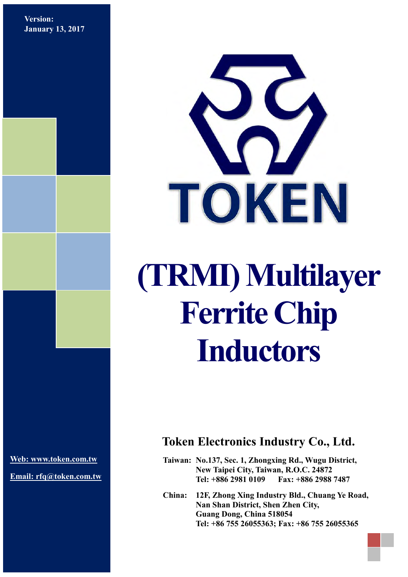**Version: January 13, 2017**



# **(TRMI) Multilayer Ferrite Chip Inductors**

**[Web: www.token.com.tw](http://www.token.com.tw/)**

**Email: rfq@token.com.tw**

#### **Token Electronics Industry Co., Ltd.**

**Taiwan: No.137, Sec. 1, Zhongxing Rd., Wugu District, New Taipei City, Taiwan, R.O.C. 24872 Tel: +886 2981 0109 Fax: +886 2988 7487**

**China: 12F, Zhong Xing Industry Bld., Chuang Ye Road, Nan Shan District, Shen Zhen City, Guang Dong, China 518054 Tel: +86 755 26055363; Fax: +86 755 26055365**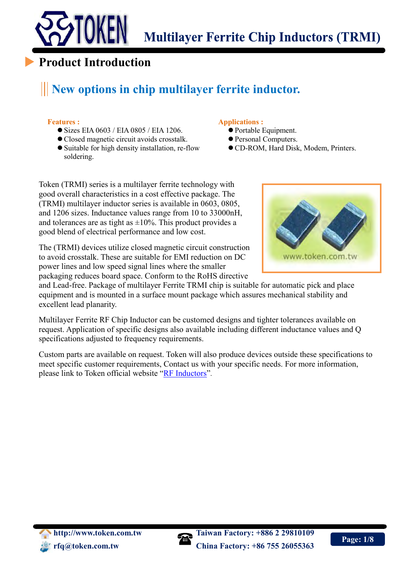

### **Product Introduction**

# **New options in chip multilayer ferrite inductor.**

#### **Features :**

 $\overline{a}$ 

- Sizes EIA 0603 / EIA 0805 / EIA 1206.
- Closed magnetic circuit avoids crosstalk.
- Suitable for high density installation, re-flow soldering.

#### **Applications :**

- Portable Equipment.
- Personal Computers.
- CD-ROM, Hard Disk, Modem, Printers.

Token (TRMI) series is a multilayer ferrite technology with good overall characteristics in a cost effective package. The (TRMI) multilayer inductor series is available in 0603, 0805, and 1206 sizes. Inductance values range from 10 to 33000nH, and tolerances are as tight as  $\pm 10\%$ . This product provides a good blend of electrical performance and low cost.

The (TRMI) devices utilize closed magnetic circuit construction to avoid crosstalk. These are suitable for EMI reduction on DC power lines and low speed signal lines where the smaller packaging reduces board space. Conform to the RoHS directive



and Lead-free. Package of multilayer Ferrite TRMI chip is suitable for automatic pick and place equipment and is mounted in a surface mount package which assures mechanical stability and excellent lead planarity.

Multilayer Ferrite RF Chip Inductor can be customed designs and tighter tolerances available on request. Application of specific designs also available including different inductance values and Q specifications adjusted to frequency requirements.

Custom parts are available on request. Token will also produce devices outside these specifications to meet specific customer requirements, Contact us with your specific needs. For more information, please link to Token official website "[RF Inductors](http://www.token.com.tw/rf-inductors/index.html)".

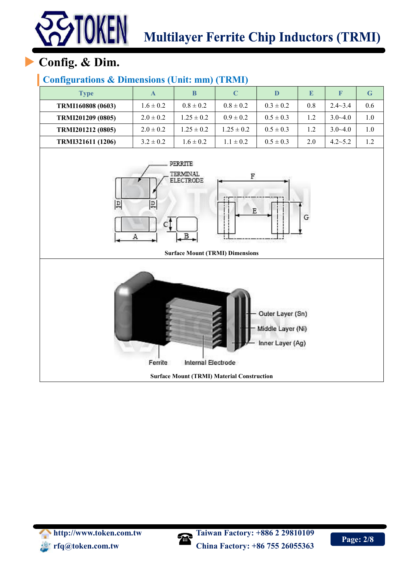# **Multilayer Ferrite Chip Inductors (TRMI)**

# **Config. & Dim.**

TOKEN

#### **Configurations & Dimensions (Unit: mm) (TRMI)**

| <b>Type</b>       | A             | B              |                | D             | E   | $\mathbf F$ | G   |
|-------------------|---------------|----------------|----------------|---------------|-----|-------------|-----|
| TRMI160808 (0603) | $1.6 \pm 0.2$ | $0.8 \pm 0.2$  | $0.8 \pm 0.2$  | $0.3 \pm 0.2$ | 0.8 | $2.4 - 3.4$ | 0.6 |
| TRMI201209 (0805) | $2.0 \pm 0.2$ | $1.25 \pm 0.2$ | $0.9 \pm 0.2$  | $0.5 \pm 0.3$ | 1.2 | $3.0 - 4.0$ | 1.0 |
| TRMI201212 (0805) | $2.0 \pm 0.2$ | $1.25 \pm 0.2$ | $1.25 \pm 0.2$ | $0.5 \pm 0.3$ | 1.2 | $3.0 - 4.0$ | 1.0 |
| TRMI321611 (1206) | $3.2 \pm 0.2$ | $1.6 \pm 0.2$  | $1.1 \pm 0.2$  | $0.5 \pm 0.3$ | 2.0 | $4.2 - 5.2$ | 1.2 |
|                   |               |                |                |               |     |             |     |



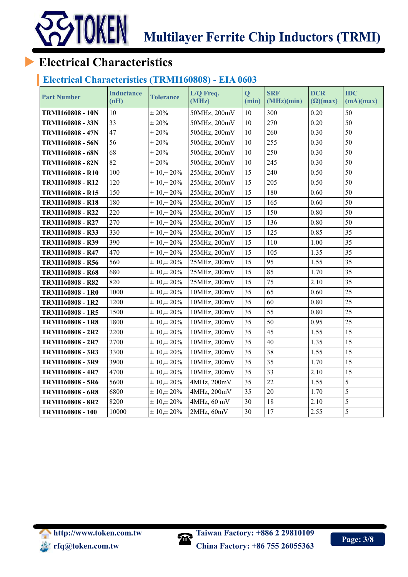

# **Electrical Characteristics**

#### **Electrical Characteristics (TRMI160808) - EIA 0603**

| <b>Part Number</b>      | Inductance<br>(nH) | <b>Tolerance</b>   | L/Q Freq.<br>(MHz) | $\overline{O}$<br>(min) | <b>SRF</b><br>(MHz)(min) | <b>DCR</b><br>$(\Omega)(max)$ | <b>IDC</b><br>(mA)(max) |
|-------------------------|--------------------|--------------------|--------------------|-------------------------|--------------------------|-------------------------------|-------------------------|
| <b>TRMI160808 - 10N</b> | 10                 | $\pm 20\%$         | 50MHz, 200mV       | 10                      | 300                      | 0.20                          | 50                      |
| TRMI160808 - 33N        | 33                 | $\pm$ 20%          | 50MHz, 200mV       | 10                      | 270                      | 0.20                          | 50                      |
| TRMI160808 - 47N        | 47                 | $\pm 20\%$         | 50MHz, 200mV       | 10                      | 260                      | 0.30                          | 50                      |
| <b>TRMI160808 - 56N</b> | 56                 | $\pm$ 20%          | 50MHz, 200mV       | 10                      | 255                      | 0.30                          | 50                      |
| <b>TRMI160808 - 68N</b> | 68                 | $\pm$ 20%          | 50MHz, 200mV       | 10                      | 250                      | 0.30                          | 50                      |
| <b>TRMI160808 - 82N</b> | 82                 | $\pm 20\%$         | 50MHz, 200mV       | 10                      | 245                      | 0.30                          | 50                      |
| <b>TRMI160808 - R10</b> | 100                | $\pm 10 \pm 20\%$  | 25MHz, 200mV       | 15                      | 240                      | 0.50                          | 50                      |
| TRMI160808 - R12        | 120                | $\pm 10 \pm 20\%$  | 25MHz, 200mV       | 15                      | 205                      | 0.50                          | 50                      |
| <b>TRMI160808 - R15</b> | 150                | $\pm 10 \pm 20\%$  | 25MHz, 200mV       | 15                      | 180                      | 0.60                          | 50                      |
| <b>TRMI160808 - R18</b> | 180                | $\pm 10 \pm 20\%$  | 25MHz, 200mV       | 15                      | 165                      | 0.60                          | 50                      |
| TRMI160808 - R22        | 220                | $\pm 10 \pm 20\%$  | 25MHz, 200mV       | 15                      | 150                      | 0.80                          | 50                      |
| TRMI160808 - R27        | 270                | $\pm 10 \pm 20\%$  | 25MHz, 200mV       | 15                      | 136                      | 0.80                          | 50                      |
| TRMI160808 - R33        | 330                | $\pm 10 \pm 20\%$  | 25MHz, 200mV       | 15                      | 125                      | 0.85                          | 35                      |
| TRMI160808 - R39        | 390                | $\pm 10 \pm 20\%$  | 25MHz, 200mV       | 15                      | 110                      | 1.00                          | 35                      |
| TRMI160808 - R47        | 470                | $\pm 10 \pm 20\%$  | 25MHz, 200mV       | 15                      | 105                      | 1.35                          | 35                      |
| TRMI160808 - R56        | 560                | $\pm 10, \pm 20\%$ | 25MHz, 200mV       | 15                      | 95                       | 1.55                          | 35                      |
| TRMI160808 - R68        | 680                | $\pm 10 \pm 20\%$  | 25MHz, 200mV       | 15                      | 85                       | 1.70                          | 35                      |
| TRMI160808 - R82        | 820                | $\pm 10 \pm 20\%$  | 25MHz, 200mV       | 15                      | 75                       | 2.10                          | 35                      |
| <b>TRMI160808 - 1R0</b> | 1000               | $\pm 10 \pm 20\%$  | 10MHz, 200mV       | 35                      | 65                       | 0.60                          | 25                      |
| TRMI160808 - 1R2        | 1200               | $\pm 10 \pm 20\%$  | 10MHz, 200mV       | 35                      | 60                       | 0.80                          | 25                      |
| TRMI160808 - 1R5        | 1500               | $\pm 10 \pm 20\%$  | 10MHz, 200mV       | 35                      | 55                       | 0.80                          | 25                      |
| TRMI160808 - 1R8        | 1800               | $\pm 10 \pm 20\%$  | 10MHz, 200mV       | 35                      | 50                       | 0.95                          | 25                      |
| TRMI160808 - 2R2        | 2200               | $\pm 10, \pm 20\%$ | 10MHz, 200mV       | 35                      | 45                       | 1.55                          | 15                      |
| TRMI160808 - 2R7        | 2700               | $\pm 10 \pm 20\%$  | 10MHz, 200mV       | 35                      | 40                       | 1.35                          | 15                      |
| TRMI160808 - 3R3        | 3300               | $\pm 10 \pm 20\%$  | 10MHz, 200mV       | 35                      | 38                       | 1.55                          | 15                      |
| TRMI160808 - 3R9        | 3900               | $\pm 10 \pm 20\%$  | 10MHz, 200mV       | 35                      | 35                       | 1.70                          | 15                      |
| TRMI160808 - 4R7        | 4700               | $\pm 10 \pm 20\%$  | 10MHz, 200mV       | 35                      | 33                       | 2.10                          | 15                      |
| TRMI160808 - 5R6        | 5600               | $\pm 10 \pm 20\%$  | 4MHz, 200mV        | 35                      | 22                       | 1.55                          | 5                       |
| <b>TRMI160808 - 6R8</b> | 6800               | $\pm 10 \pm 20\%$  | 4MHz, 200mV        | 35                      | 20                       | 1.70                          | 5                       |
| TRMI160808 - 8R2        | 8200               | $\pm 10 \pm 20\%$  | 4MHz, 60 mV        | 30                      | 18                       | 2.10                          | 5                       |
| TRMI160808 - 100        | 10000              | $\pm 10 \pm 20\%$  | 2MHz, 60mV         | 30                      | 17                       | 2.55                          | 5                       |

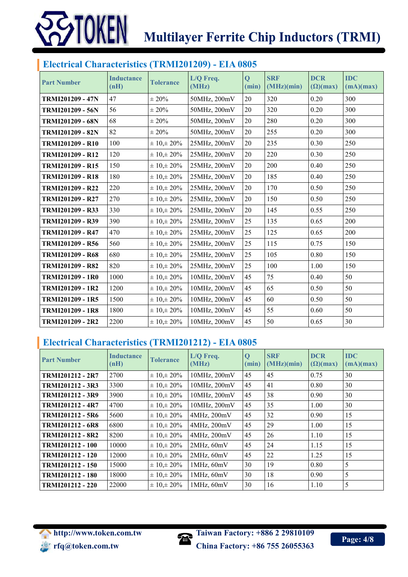

#### **Electrical Characteristics (TRMI201209) - EIA 0805**

| <b>Part Number</b>      | <b>Inductance</b><br>(nH) | <b>Tolerance</b>  | L/Q Freq.<br>(MHz) | $\mathbf 0$<br>(min) | <b>SRF</b><br>(MHz)(min) | <b>DCR</b><br>$(\Omega)(max)$ | <b>IDC</b><br>(mA)(max) |
|-------------------------|---------------------------|-------------------|--------------------|----------------------|--------------------------|-------------------------------|-------------------------|
| TRMI201209 - 47N        | 47                        | $\pm 20\%$        | 50MHz, 200mV       | 20                   | 320                      | 0.20                          | 300                     |
| TRMI201209 - 56N        | 56                        | $\pm 20\%$        | 50MHz, 200mV       | 20                   | 320                      | 0.20                          | 300                     |
| TRMI201209 - 68N        | 68                        | $\pm 20\%$        | 50MHz, 200mV       | 20                   | 280                      | 0.20                          | 300                     |
| TRMI201209 - 82N        | 82                        | $\pm 20\%$        | 50MHz, 200mV       | 20                   | 255                      | 0.20                          | 300                     |
| TRMI201209 - R10        | 100                       | $\pm 10 \pm 20\%$ | 25MHz, 200mV       | 20                   | 235                      | 0.30                          | 250                     |
| TRMI201209 - R12        | 120                       | $\pm 10 \pm 20\%$ | 25MHz, 200mV       | 20                   | 220                      | 0.30                          | 250                     |
| TRMI201209 - R15        | 150                       | $\pm 10 \pm 20\%$ | 25MHz, 200mV       | 20                   | 200                      | 0.40                          | 250                     |
| TRMI201209 - R18        | 180                       | $\pm 10 \pm 20\%$ | 25MHz, 200mV       | 20                   | 185                      | 0.40                          | 250                     |
| TRMI201209 - R22        | 220                       | $\pm 10 \pm 20\%$ | 25MHz, 200mV       | 20                   | 170                      | 0.50                          | 250                     |
| TRMI201209 - R27        | 270                       | $\pm 10 \pm 20\%$ | 25MHz, 200mV       | 20                   | 150                      | 0.50                          | 250                     |
| TRMI201209 - R33        | 330                       | $\pm 10 \pm 20\%$ | 25MHz, 200mV       | 20                   | 145                      | 0.55                          | 250                     |
| TRMI201209 - R39        | 390                       | $\pm 10 \pm 20\%$ | 25MHz, 200mV       | 25                   | 135                      | 0.65                          | 200                     |
| TRMI201209 - R47        | 470                       | $\pm 10 \pm 20\%$ | 25MHz, 200mV       | 25                   | 125                      | 0.65                          | 200                     |
| TRMI201209 - R56        | 560                       | $\pm 10 \pm 20\%$ | 25MHz, 200mV       | 25                   | 115                      | 0.75                          | 150                     |
| TRMI201209 - R68        | 680                       | $\pm 10 \pm 20\%$ | 25MHz, 200mV       | 25                   | 105                      | 0.80                          | 150                     |
| TRMI201209 - R82        | 820                       | $\pm 10 \pm 20\%$ | 25MHz, 200mV       | 25                   | 100                      | 1.00                          | 150                     |
| TRMI201209 - 1R0        | 1000                      | $\pm 10 \pm 20\%$ | 10MHz, 200mV       | 45                   | 75                       | 0.40                          | 50                      |
| TRMI201209 - 1R2        | 1200                      | $\pm 10 \pm 20\%$ | 10MHz, 200mV       | 45                   | 65                       | 0.50                          | 50                      |
| TRMI201209 - 1R5        | 1500                      | $\pm 10 \pm 20\%$ | 10MHz, 200mV       | 45                   | 60                       | 0.50                          | 50                      |
| <b>TRMI201209 - 1R8</b> | 1800                      | $\pm 10 \pm 20\%$ | 10MHz, 200mV       | 45                   | 55                       | 0.60                          | 50                      |
| TRMI201209 - 2R2        | 2200                      | $\pm 10 \pm 20\%$ | 10MHz, 200mV       | 45                   | 50                       | 0.65                          | 30                      |

#### **Electrical Characteristics (TRMI201212) - EIA 0805**

| <b>Part Number</b>      | <b>Inductance</b><br>(nH) | <b>Tolerance</b>  | $L/O$ Freq.<br>(MHz) | $\mathbf 0$<br>(min) | <b>SRF</b><br>(MHz)(min) | <b>DCR</b><br>$(\Omega)(max)$ | <b>IDC</b><br>(mA)(max) |
|-------------------------|---------------------------|-------------------|----------------------|----------------------|--------------------------|-------------------------------|-------------------------|
| TRMI201212 - 2R7        | 2700                      | $\pm 10 \pm 20\%$ | 10MHz, 200mV         | 45                   | 45                       | 0.75                          | 30                      |
| TRMI201212 - 3R3        | 3300                      | $\pm 10 \pm 20\%$ | 10MHz, 200mV         | 45                   | 41                       | 0.80                          | 30                      |
| TRMI201212 - 3R9        | 3900                      | $\pm 10 \pm 20\%$ | 10MHz, 200mV         | 45                   | 38                       | 0.90                          | 30                      |
| TRMI201212 - 4R7        | 4700                      | $\pm 10 \pm 20\%$ | 10MHz, 200mV         | 45                   | 35                       | 1.00                          | 30                      |
| <b>TRMI201212 - 5R6</b> | 5600                      | $\pm 10 \pm 20\%$ | $4MHz$ , $200mV$     | 45                   | 32                       | 0.90                          | 15                      |
| <b>TRMI201212 - 6R8</b> | 6800                      | $\pm 10 \pm 20\%$ | 4MHz, 200mV          | 45                   | 29                       | 1.00                          | 15                      |
| <b>TRMI201212 - 8R2</b> | 8200                      | $\pm 10 \pm 20\%$ | $4MHz$ , $200mV$     | 45                   | 26                       | 1.10                          | 15                      |
| <b>TRMI201212 - 100</b> | 10000                     | $\pm 10 \pm 20\%$ | 2MHz, 60mV           | 45                   | 24                       | 1.15                          | 15                      |
| TRMI201212 - 120        | 12000                     | $\pm 10 \pm 20\%$ | 2MHz, 60mV           | 45                   | 22                       | 1.25                          | 15                      |
| TRMI201212 - 150        | 15000                     | $\pm 10 \pm 20\%$ | 1MHz, 60mV           | 30                   | 19                       | 0.80                          | 5                       |
| TRMI201212 - 180        | 18000                     | $\pm 10 \pm 20\%$ | 1MHz, 60mV           | 30                   | 18                       | 0.90                          | 5                       |
| TRMI201212 - 220        | 22000                     | $\pm 10 \pm 20\%$ | 1MHz, 60mV           | 30                   | 16                       | 1.10                          | 5                       |



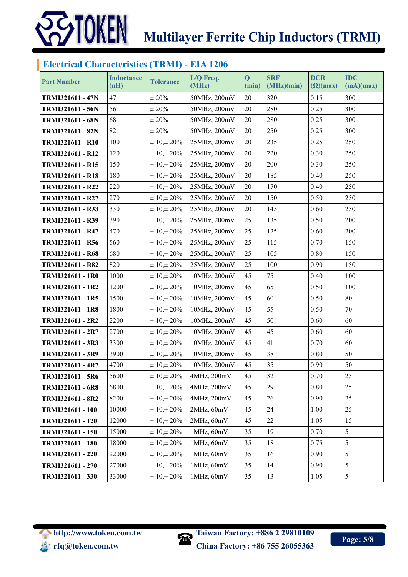

#### **Electrical Characteristics (TRMI) - EIA 1206**

| <b>Part Number</b> | <b>Inductance</b><br>(nH) | <b>Tolerance</b>   | L/Q Freq.<br>(MHz) | $\overline{Q}$<br>(min) | <b>SRF</b><br>(MHz)(min) | <b>DCR</b><br>$(\Omega)(max)$ | <b>IDC</b><br>(mA)(max) |
|--------------------|---------------------------|--------------------|--------------------|-------------------------|--------------------------|-------------------------------|-------------------------|
| TRMI321611 - 47N   | 47                        | $\pm$ 20%          | 50MHz, 200mV       | 20                      | 320                      | 0.15                          | 300                     |
| TRMI321611 - 56N   | 56                        | $\pm$ 20%          | 50MHz, 200mV       | 20                      | 280                      | 0.25                          | 300                     |
| TRMI321611 - 68N   | 68                        | $\pm 20\%$         | 50MHz, 200mV       | 20                      | 280                      | 0.25                          | 300                     |
| TRMI321611 - 82N   | 82                        | $\pm 20\%$         | 50MHz, 200mV       | 20                      | 250                      | 0.25                          | 300                     |
| TRMI321611 - R10   | 100                       | $\pm 10, \pm 20\%$ | 25MHz, 200mV       | 20                      | 235                      | 0.25                          | 250                     |
| TRMI321611 - R12   | 120                       | $\pm 10, \pm 20\%$ | 25MHz, 200mV       | $20\,$                  | 220                      | 0.30                          | 250                     |
| TRMI321611 - R15   | 150                       | $\pm 10 \pm 20\%$  | 25MHz, 200mV       | 20                      | 200                      | 0.30                          | 250                     |
| TRMI321611 - R18   | 180                       | $\pm 10, \pm 20\%$ | 25MHz, 200mV       | 20                      | 185                      | 0.40                          | 250                     |
| TRMI321611 - R22   | 220                       | $\pm 10, \pm 20\%$ | 25MHz, 200mV       | 20                      | 170                      | 0.40                          | 250                     |
| TRMI321611 - R27   | 270                       | $\pm 10, \pm 20\%$ | 25MHz, 200mV       | 20                      | 150                      | 0.50                          | 250                     |
| TRMI321611 - R33   | 330                       | $\pm 10, \pm 20\%$ | 25MHz, 200mV       | $20\,$                  | 145                      | 0.60                          | 250                     |
| TRMI321611 - R39   | 390                       | $\pm 10, \pm 20\%$ | 25MHz, 200mV       | 25                      | 135                      | 0.50                          | 200                     |
| TRMI321611 - R47   | 470                       | $\pm 10, \pm 20\%$ | 25MHz, 200mV       | 25                      | 125                      | 0.60                          | 200                     |
| TRMI321611 - R56   | 560                       | $\pm 10 \pm 20\%$  | 25MHz, 200mV       | 25                      | 115                      | 0.70                          | 150                     |
| TRMI321611 - R68   | 680                       | $\pm 10 \pm 20\%$  | 25MHz, 200mV       | 25                      | 105                      | 0.80                          | 150                     |
| TRMI321611 - R82   | 820                       | $\pm 10, \pm 20\%$ | 25MHz, 200mV       | 25                      | 100                      | 0.90                          | 150                     |
| TRMI321611 - 1R0   | 1000                      | $\pm 10 \pm 20\%$  | 10MHz, 200mV       | 45                      | 75                       | 0.40                          | 100                     |
| TRMI321611 - 1R2   | 1200                      | $\pm 10, \pm 20\%$ | 10MHz, 200mV       | 45                      | 65                       | 0.50                          | 100                     |
| TRMI321611 - 1R5   | 1500                      | $\pm 10 \pm 20\%$  | 10MHz, 200mV       | 45                      | 60                       | 0.50                          | 80                      |
| TRMI321611 - 1R8   | 1800                      | $\pm 10 \pm 20\%$  | 10MHz, 200mV       | 45                      | 55                       | 0.50                          | 70                      |
| TRMI321611 - 2R2   | 2200                      | $\pm 10 \pm 20\%$  | 10MHz, 200mV       | 45                      | 50                       | 0.60                          | 60                      |
| TRMI321611 - 2R7   | 2700                      | $\pm 10, \pm 20\%$ | 10MHz, 200mV       | 45                      | 45                       | 0.60                          | 60                      |
| TRMI321611 - 3R3   | 3300                      | $\pm 10, \pm 20\%$ | 10MHz, 200mV       | 45                      | 41                       | 0.70                          | 60                      |
| TRMI321611 - 3R9   | 3900                      | $\pm 10 \pm 20\%$  | 10MHz, 200mV       | 45                      | 38                       | 0.80                          | 50                      |
| TRMI321611 - 4R7   | 4700                      | $\pm 10, \pm 20\%$ | 10MHz, 200mV       | 45                      | 35                       | 0.90                          | 50                      |
| TRMI321611 - 5R6   | 5600                      | $\pm 10, \pm 20\%$ | 4MHz, 200mV        | 45                      | 32                       | 0.70                          | 25                      |
| TRMI321611 - 6R8   | 6800                      | $\pm 10 \pm 20\%$  | 4MHz, 200mV        | 45                      | 29                       | 0.80                          | 25                      |
| TRMI321611 - 8R2   | 8200                      | $\pm 10, \pm 20\%$ | 4MHz, 200mV        | 45                      | 26                       | 0.90                          | 25                      |
| TRMI321611 - 100   | 10000                     | $\pm 10, \pm 20\%$ | 2MHz, 60mV         | 45                      | 24                       | 1.00                          | 25                      |
| TRMI321611 - 120   | 12000                     | $\pm 10 \pm 20\%$  | 2MHz, 60mV         | 45                      | 22                       | 1.05                          | 15                      |
| TRMI321611 - 150   | 15000                     | $\pm 10, \pm 20\%$ | 1MHz, 60mV         | 35                      | 19                       | 0.70                          | 5                       |
| TRMI321611 - 180   | 18000                     | $\pm 10, \pm 20\%$ | 1MHz, 60mV         | 35                      | 18                       | 0.75                          | 5                       |
| TRMI321611 - 220   | 22000                     | $\pm 10, \pm 20\%$ | 1MHz, 60mV         | 35                      | 16                       | 0.90                          | 5                       |
| TRMI321611 - 270   | 27000                     | $\pm 10 \pm 20\%$  | 1MHz, 60mV         | 35                      | 14                       | 0.90                          | 5                       |
| TRMI321611 - 330   | 33000                     | $\pm 10, \pm 20\%$ | 1MHz, 60mV         | 35                      | 13                       | 1.05                          | 5                       |



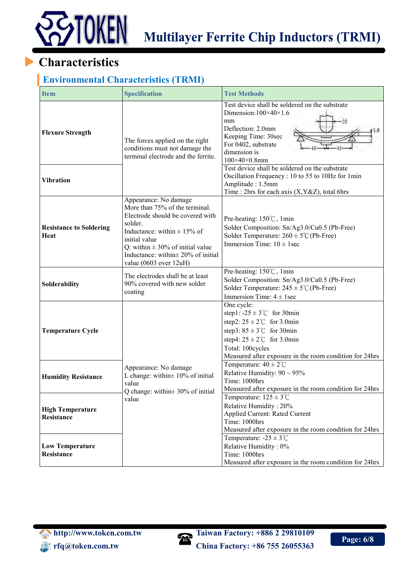# STOKEN

# **Characteristics**

#### **Environmental Characteristics (TRMI)**

| <b>Item</b>                                                                           | <b>Specification</b>                                                                                                                                                                                                                                                | <b>Test Methods</b>                                                                                                                                                                                                                                                   |  |  |  |
|---------------------------------------------------------------------------------------|---------------------------------------------------------------------------------------------------------------------------------------------------------------------------------------------------------------------------------------------------------------------|-----------------------------------------------------------------------------------------------------------------------------------------------------------------------------------------------------------------------------------------------------------------------|--|--|--|
| <b>Flexure Strength</b>                                                               | The forces applied on the right<br>conditions must not damage the<br>terminal electrode and the ferrite.                                                                                                                                                            | Test device shall be soldered on the substrate<br>Dimension: $100 \times 40 \times 1.6$<br>mm<br>Deflection: 2.0mm<br>1.6<br>Keeping Time: 30sec<br>For 0402, substrate<br>dimension is<br>$100\times40\times0.8$ mm                                                  |  |  |  |
| <b>Vibration</b>                                                                      |                                                                                                                                                                                                                                                                     | Test device shall be soldered on the substrate<br>Oscillation Frequency : 10 to 55 to 10Hz for 1min<br>Amplitude: 1.5mm<br>Time : 2hrs for each axis (X, Y&Z), total 6hrs                                                                                             |  |  |  |
| <b>Resistance to Soldering</b><br>Heat                                                | Appearance: No damage<br>More than 75% of the terminal.<br>Electrode should be covered with<br>solder.<br>Inductance: within $\pm$ 15% of<br>initial value<br>Q: within $\pm$ 30% of initial value<br>Inductance: within ± 20% of initial<br>value (0603 over 12uH) | Pre-heating: 150℃, 1min<br>Solder Composition: Sn/Ag3.0/Cu0.5 (Pb-Free)<br>Solder Temperature: $260 \pm 5^{\circ}$ C (Pb-Free)<br>Immersion Time: $10 \pm 1$ sec                                                                                                      |  |  |  |
| Solderability                                                                         | The electrodes shall be at least<br>90% covered with new solder<br>coating                                                                                                                                                                                          | Pre-heating: 150℃, 1min<br>Solder Composition: Sn/Ag3.0/Cu0.5 (Pb-Free)<br>Solder Temperature: $245 \pm 5^{\circ}$ (Pb-Free)<br>Immersion Time: $4 \pm 1$ sec                                                                                                         |  |  |  |
| <b>Temperature Cycle</b>                                                              |                                                                                                                                                                                                                                                                     | One cycle:<br>step1: $-25 \pm 3^{\circ}$ for 30min<br>step2: $25 \pm 2^{\circ}$ for 3.0min<br>step3: $85 \pm 3^{\circ}$ for 30min<br>step4: $25 \pm 2^{\circ}$ for 3.0min<br>Total: 100cycles<br>Measured after exposure in the room condition for 24hrs              |  |  |  |
| <b>Humidity Resistance</b><br>value<br>value<br><b>High Temperature</b><br>Resistance | Appearance: No damage<br>L change: within $\pm$ 10% of initial<br>Q change: within $\pm$ 30% of initial                                                                                                                                                             | Temperature: $40 \pm 2^{\circ}$ C<br>Relative Humidity: $90 \sim 95\%$<br>Time: 1000hrs<br>Measured after exposure in the room condition for 24hrs<br>Temperature: $125 \pm 3^{\circ}$ C<br>Relative Humidity: 20%<br>Applied Current: Rated Current<br>Time: 1000hrs |  |  |  |
|                                                                                       |                                                                                                                                                                                                                                                                     |                                                                                                                                                                                                                                                                       |  |  |  |
| <b>Low Temperature</b><br><b>Resistance</b>                                           |                                                                                                                                                                                                                                                                     | Measured after exposure in the room condition for 24hrs<br>Temperature: $-25 \pm 3^{\circ}$ C<br>Relative Humidity: 0%<br>Time: 1000hrs<br>Measured after exposure in the room condition for 24hrs                                                                    |  |  |  |

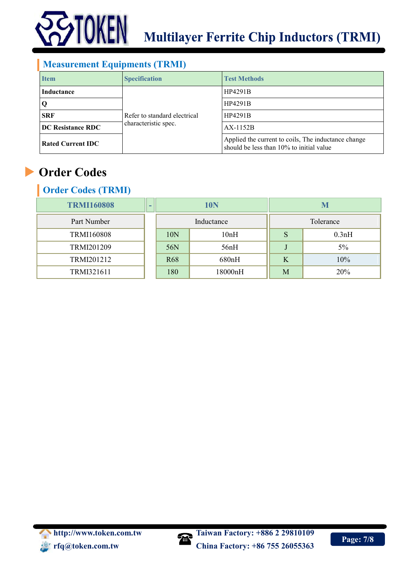

#### **Measurement Equipments (TRMI)**

| <b>Item</b>              | <b>Specification</b>         | <b>Test Methods</b>                                                                             |  |  |  |
|--------------------------|------------------------------|-------------------------------------------------------------------------------------------------|--|--|--|
| <b>Inductance</b>        |                              | <b>HP4291B</b>                                                                                  |  |  |  |
|                          |                              | <b>HP4291B</b>                                                                                  |  |  |  |
| <b>SRF</b>               | Refer to standard electrical | <b>HP4291B</b>                                                                                  |  |  |  |
| <b>DC Resistance RDC</b> | characteristic spec.         | $AX-1152B$                                                                                      |  |  |  |
| <b>Rated Current IDC</b> |                              | Applied the current to coils, The inductance change<br>should be less than 10% to initial value |  |  |  |

## **Order Codes**

#### **Order Codes (TRMI)**

| <b>TRMI160808</b> | - | <b>10N</b>      |         | M |           |
|-------------------|---|-----------------|---------|---|-----------|
| Part Number       |   | Inductance      |         |   | Tolerance |
| <b>TRMI160808</b> |   | 10 <sub>N</sub> | 10nH    | S | 0.3nH     |
| TRMI201209        |   | 56N             | 56nH    |   | 5%        |
| TRMI201212        |   | <b>R68</b>      | 680nH   | K | 10%       |
| TRMI321611        |   | 180             | 18000nH | M | 20%       |